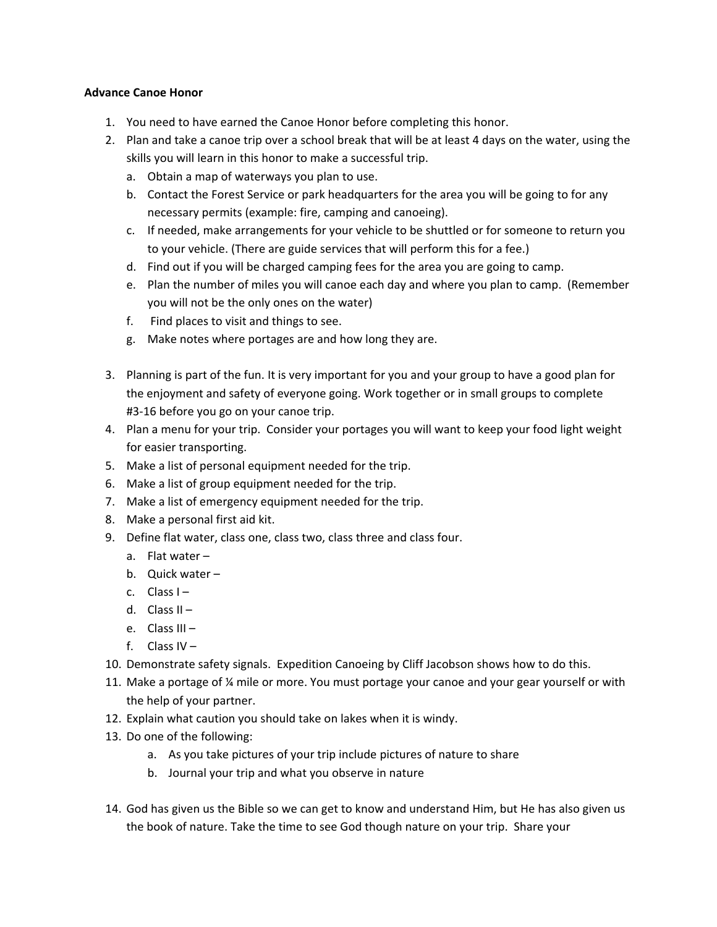## **Advance Canoe Honor**

- 1. You need to have earned the Canoe Honor before completing this honor.
- 2. Plan and take a canoe trip over a school break that will be at least 4 days on the water, using the skills you will learn in this honor to make a successful trip.
	- a. Obtain a map of waterways you plan to use.
	- b. Contact the Forest Service or park headquarters for the area you will be going to for any necessary permits (example: fire, camping and canoeing).
	- c. If needed, make arrangements for your vehicle to be shuttled or for someone to return you to your vehicle. (There are guide services that will perform this for a fee.)
	- d. Find out if you will be charged camping fees for the area you are going to camp.
	- e. Plan the number of miles you will canoe each day and where you plan to camp. (Remember you will not be the only ones on the water)
	- f. Find places to visit and things to see.
	- g. Make notes where portages are and how long they are.
- 3. Planning is part of the fun. It is very important for you and your group to have a good plan for the enjoyment and safety of everyone going. Work together or in small groups to complete #3‐16 before you go on your canoe trip.
- 4. Plan a menu for your trip. Consider your portages you will want to keep your food light weight for easier transporting.
- 5. Make a list of personal equipment needed for the trip.
- 6. Make a list of group equipment needed for the trip.
- 7. Make a list of emergency equipment needed for the trip.
- 8. Make a personal first aid kit.
- 9. Define flat water, class one, class two, class three and class four.
	- a. Flat water –
	- b. Quick water –
	- c. Class I –
	- d. Class  $II -$
	- e. Class III –
	- f. Class IV –
- 10. Demonstrate safety signals. Expedition Canoeing by Cliff Jacobson shows how to do this.
- 11. Make a portage of ¼ mile or more. You must portage your canoe and your gear yourself or with the help of your partner.
- 12. Explain what caution you should take on lakes when it is windy.
- 13. Do one of the following:
	- a. As you take pictures of your trip include pictures of nature to share
	- b. Journal your trip and what you observe in nature
- 14. God has given us the Bible so we can get to know and understand Him, but He has also given us the book of nature. Take the time to see God though nature on your trip. Share your